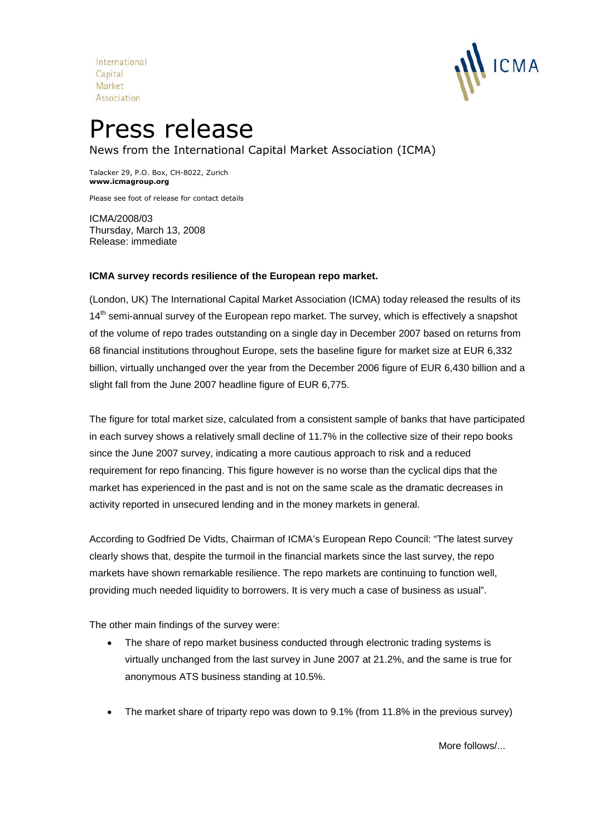International Capital Market Association



# Press release

News from the International Capital Market Association (ICMA)

Talacker 29, P.O. Box, CH-8022, Zurich **www.icmagroup.org**

Please see foot of release for contact details

ICMA/2008/03 Thursday, March 13, 2008 Release: immediate

### **ICMA survey records resilience of the European repo market.**

(London, UK) The International Capital Market Association (ICMA) today released the results of its 14<sup>th</sup> semi-annual survey of the European repo market. The survey, which is effectively a snapshot of the volume of repo trades outstanding on a single day in December 2007 based on returns from 68 financial institutions throughout Europe, sets the baseline figure for market size at EUR 6,332 billion, virtually unchanged over the year from the December 2006 figure of EUR 6,430 billion and a slight fall from the June 2007 headline figure of EUR 6,775.

The figure for total market size, calculated from a consistent sample of banks that have participated in each survey shows a relatively small decline of 11.7% in the collective size of their repo books since the June 2007 survey, indicating a more cautious approach to risk and a reduced requirement for repo financing. This figure however is no worse than the cyclical dips that the market has experienced in the past and is not on the same scale as the dramatic decreases in activity reported in unsecured lending and in the money markets in general.

According to Godfried De Vidts, Chairman of ICMA's European Repo Council: "The latest survey clearly shows that, despite the turmoil in the financial markets since the last survey, the repo markets have shown remarkable resilience. The repo markets are continuing to function well, providing much needed liquidity to borrowers. It is very much a case of business as usual".

The other main findings of the survey were:

- The share of repo market business conducted through electronic trading systems is virtually unchanged from the last survey in June 2007 at 21.2%, and the same is true for anonymous ATS business standing at 10.5%.
- The market share of triparty repo was down to 9.1% (from 11.8% in the previous survey)

More follows/...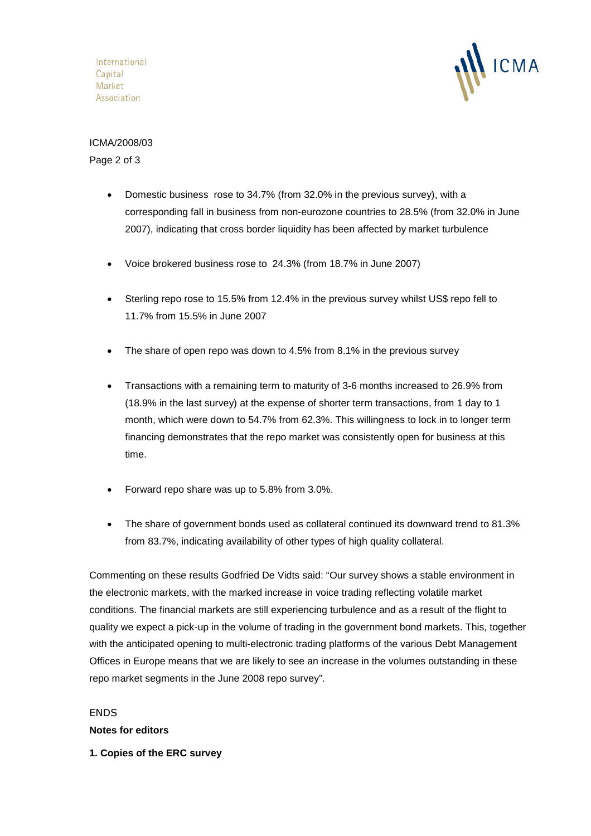International Capital Market Association



### ICMA/2008/03 Page 2 of 3

- Domestic business rose to 34.7% (from 32.0% in the previous survey), with a corresponding fall in business from non-eurozone countries to 28.5% (from 32.0% in June 2007), indicating that cross border liquidity has been affected by market turbulence
- Voice brokered business rose to 24.3% (from 18.7% in June 2007)
- Sterling repo rose to 15.5% from 12.4% in the previous survey whilst US\$ repo fell to 11.7% from 15.5% in June 2007
- The share of open repo was down to 4.5% from 8.1% in the previous survey
- Transactions with a remaining term to maturity of 3-6 months increased to 26.9% from (18.9% in the last survey) at the expense of shorter term transactions, from 1 day to 1 month, which were down to 54.7% from 62.3%. This willingness to lock in to longer term financing demonstrates that the repo market was consistently open for business at this time.
- Forward repo share was up to 5.8% from 3.0%.
- The share of government bonds used as collateral continued its downward trend to 81.3% from 83.7%, indicating availability of other types of high quality collateral.

Commenting on these results Godfried De Vidts said: "Our survey shows a stable environment in the electronic markets, with the marked increase in voice trading reflecting volatile market conditions. The financial markets are still experiencing turbulence and as a result of the flight to quality we expect a pick-up in the volume of trading in the government bond markets. This, together with the anticipated opening to multi-electronic trading platforms of the various Debt Management Offices in Europe means that we are likely to see an increase in the volumes outstanding in these repo market segments in the June 2008 repo survey".

## ENDS

**Notes for editors**

**1. Copies of the ERC survey**